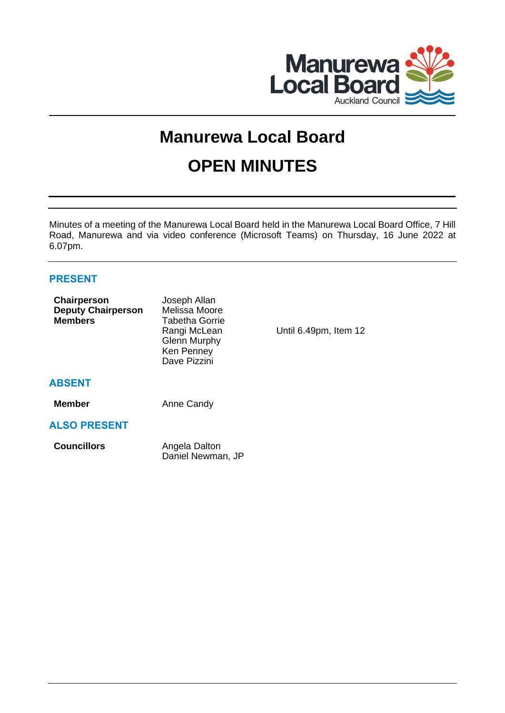

# **Manurewa Local Board**

# **OPEN MINUTES**

Minutes of a meeting of the Manurewa Local Board held in the Manurewa Local Board Office, 7 Hill Road, Manurewa and via video conference (Microsoft Teams) on Thursday, 16 June 2022 at 6.07pm.

# **PRESENT**

| Chairperson<br><b>Deputy Chairperson</b><br><b>Members</b> | Joseph Allan<br>Melissa Moore<br>Tabetha Gorrie<br>Rangi McLean<br><b>Glenn Murphy</b><br>Ken Penney<br>Dave Pizzini | Until 6.49pm, Item 12 |
|------------------------------------------------------------|----------------------------------------------------------------------------------------------------------------------|-----------------------|
| <b>ABSENT</b>                                              |                                                                                                                      |                       |
| <b>Member</b>                                              | Anne Candy                                                                                                           |                       |
| <b>ALSO PRESENT</b>                                        |                                                                                                                      |                       |
| <b>Councillors</b>                                         | Angela Dalton<br>Daniel Newman, JP                                                                                   |                       |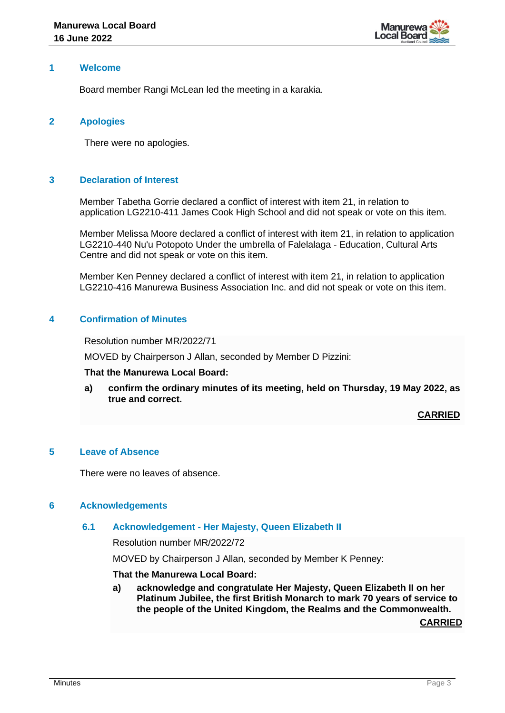

# **1 Welcome**

Board member Rangi McLean led the meeting in a karakia.

# **2 Apologies**

There were no apologies.

# **3 Declaration of Interest**

Member Tabetha Gorrie declared a conflict of interest with item 21, in relation to application LG2210-411 James Cook High School and did not speak or vote on this item.

Member Melissa Moore declared a conflict of interest with item 21, in relation to application LG2210-440 Nu'u Potopoto Under the umbrella of Falelalaga - Education, Cultural Arts Centre and did not speak or vote on this item.

Member Ken Penney declared a conflict of interest with item 21, in relation to application LG2210-416 Manurewa Business Association Inc. and did not speak or vote on this item.

# **4 Confirmation of Minutes**

Resolution number MR/2022/71

MOVED by Chairperson J Allan, seconded by Member D Pizzini:

#### **That the Manurewa Local Board:**

**a) confirm the ordinary minutes of its meeting, held on Thursday, 19 May 2022, as true and correct.**

**CARRIED**

# **5 Leave of Absence**

There were no leaves of absence.

#### **6 Acknowledgements**

#### **6.1 Acknowledgement - Her Majesty, Queen Elizabeth II**

Resolution number MR/2022/72

MOVED by Chairperson J Allan, seconded by Member K Penney:

# **That the Manurewa Local Board:**

**a) acknowledge and congratulate Her Majesty, Queen Elizabeth II on her Platinum Jubilee, the first British Monarch to mark 70 years of service to the people of the United Kingdom, the Realms and the Commonwealth.**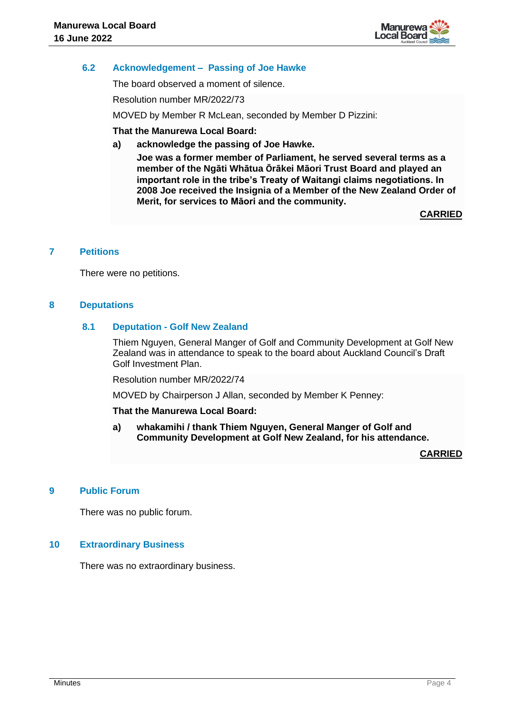

# **6.2 Acknowledgement – Passing of Joe Hawke**

The board observed a moment of silence.

Resolution number MR/2022/73

MOVED by Member R McLean, seconded by Member D Pizzini:

# **That the Manurewa Local Board:**

**a) acknowledge the passing of Joe Hawke.**

**Joe was a former member of Parliament, he served several terms as a member of the Ngāti Whātua Ōrākei Māori Trust Board and played an important role in the tribe's Treaty of Waitangi claims negotiations. In 2008 Joe received the Insignia of a Member of the New Zealand Order of Merit, for services to Māori and the community.** 

**CARRIED**

# **7 Petitions**

There were no petitions.

#### **8 Deputations**

# **8.1 Deputation - Golf New Zealand**

Thiem Nguyen, General Manger of Golf and Community Development at Golf New Zealand was in attendance to speak to the board about Auckland Council's Draft Golf Investment Plan.

Resolution number MR/2022/74

MOVED by Chairperson J Allan, seconded by Member K Penney:

#### **That the Manurewa Local Board:**

**a) whakamihi / thank Thiem Nguyen, General Manger of Golf and Community Development at Golf New Zealand, for his attendance.** 

**CARRIED**

# **9 Public Forum**

There was no public forum.

#### **10 Extraordinary Business**

There was no extraordinary business.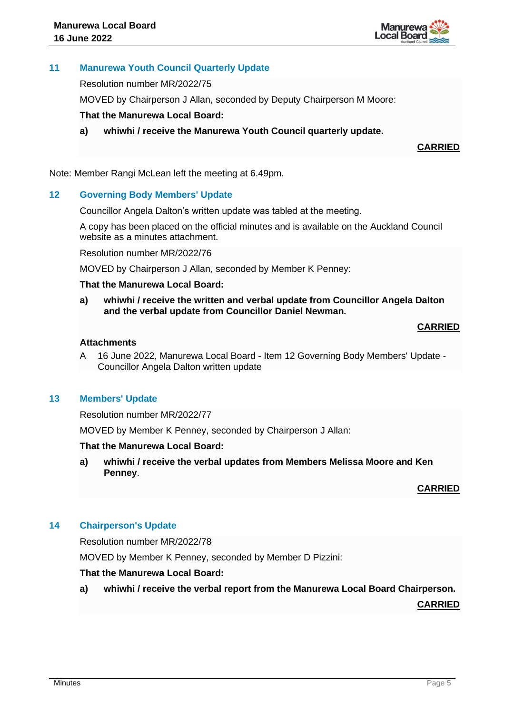

# **11 Manurewa Youth Council Quarterly Update**

Resolution number MR/2022/75

MOVED by Chairperson J Allan, seconded by Deputy Chairperson M Moore:

# **That the Manurewa Local Board:**

**a) whiwhi / receive the Manurewa Youth Council quarterly update.** 

**CARRIED**

Note: Member Rangi McLean left the meeting at 6.49pm.

# **12 Governing Body Members' Update**

Councillor Angela Dalton's written update was tabled at the meeting.

A copy has been placed on the official minutes and is available on the Auckland Council website as a minutes attachment.

Resolution number MR/2022/76

MOVED by Chairperson J Allan, seconded by Member K Penney:

# **That the Manurewa Local Board:**

**a) whiwhi / receive the written and verbal update from Councillor Angela Dalton and the verbal update from Councillor Daniel Newman.**

# **CARRIED**

# **Attachments**

A 16 June 2022, Manurewa Local Board - Item 12 Governing Body Members' Update - Councillor Angela Dalton written update

# **13 Members' Update**

Resolution number MR/2022/77

MOVED by Member K Penney, seconded by Chairperson J Allan:

#### **That the Manurewa Local Board:**

**a) whiwhi / receive the verbal updates from Members Melissa Moore and Ken Penney**.

#### **CARRIED**

# **14 Chairperson's Update**

Resolution number MR/2022/78

MOVED by Member K Penney, seconded by Member D Pizzini:

#### **That the Manurewa Local Board:**

**a) whiwhi / receive the verbal report from the Manurewa Local Board Chairperson.**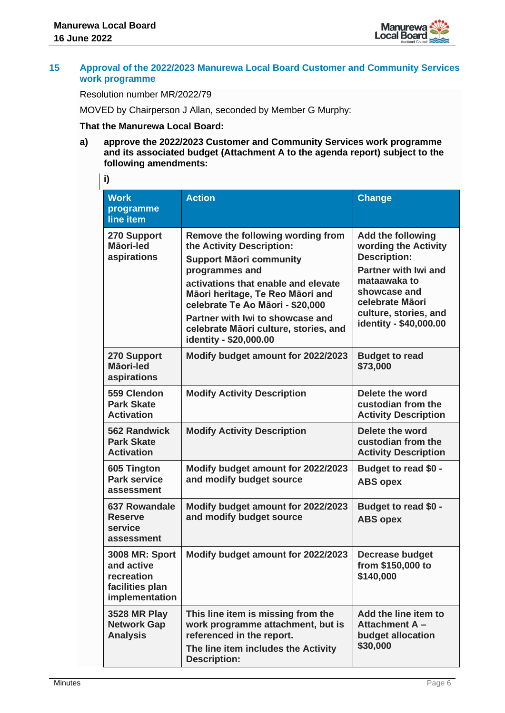

# **15 Approval of the 2022/2023 Manurewa Local Board Customer and Community Services work programme**

Resolution number MR/2022/79

MOVED by Chairperson J Allan, seconded by Member G Murphy:

# **That the Manurewa Local Board:**

**a) approve the 2022/2023 Customer and Community Services work programme and its associated budget (Attachment A to the agenda report) subject to the following amendments:**

**i)**

| <b>Work</b>                                                                            | <b>Action</b>                                                                                                                                                                                                                                                                                                                            | <b>Change</b>                                                                                                                                                                                                |  |
|----------------------------------------------------------------------------------------|------------------------------------------------------------------------------------------------------------------------------------------------------------------------------------------------------------------------------------------------------------------------------------------------------------------------------------------|--------------------------------------------------------------------------------------------------------------------------------------------------------------------------------------------------------------|--|
| programme<br>line item                                                                 |                                                                                                                                                                                                                                                                                                                                          |                                                                                                                                                                                                              |  |
| 270 Support<br>Māori-led<br>aspirations                                                | Remove the following wording from<br>the Activity Description:<br><b>Support Mäori community</b><br>programmes and<br>activations that enable and elevate<br>Māori heritage, Te Reo Māori and<br>celebrate Te Ao Māori - \$20,000<br>Partner with Iwi to showcase and<br>celebrate Māori culture, stories, and<br>identity - \$20,000.00 | <b>Add the following</b><br>wording the Activity<br><b>Description:</b><br><b>Partner with Iwi and</b><br>mataawaka to<br>showcase and<br>celebrate Māori<br>culture, stories, and<br>identity - \$40,000.00 |  |
| 270 Support<br>Māori-led<br>aspirations                                                | Modify budget amount for 2022/2023                                                                                                                                                                                                                                                                                                       | <b>Budget to read</b><br>\$73,000                                                                                                                                                                            |  |
| 559 Clendon<br><b>Park Skate</b><br><b>Activation</b>                                  | <b>Modify Activity Description</b>                                                                                                                                                                                                                                                                                                       | Delete the word<br>custodian from the<br><b>Activity Description</b>                                                                                                                                         |  |
| <b>562 Randwick</b><br><b>Park Skate</b><br><b>Activation</b>                          | <b>Modify Activity Description</b>                                                                                                                                                                                                                                                                                                       | Delete the word<br>custodian from the<br><b>Activity Description</b>                                                                                                                                         |  |
| 605 Tington<br><b>Park service</b><br>assessment                                       | Modify budget amount for 2022/2023<br>and modify budget source                                                                                                                                                                                                                                                                           | Budget to read \$0 -<br><b>ABS opex</b>                                                                                                                                                                      |  |
| <b>637 Rowandale</b><br><b>Reserve</b><br>service<br>assessment                        | Modify budget amount for 2022/2023<br>and modify budget source                                                                                                                                                                                                                                                                           | Budget to read \$0 -<br><b>ABS opex</b>                                                                                                                                                                      |  |
| <b>3008 MR: Sport</b><br>and active<br>recreation<br>facilities plan<br>implementation | Modify budget amount for 2022/2023                                                                                                                                                                                                                                                                                                       | <b>Decrease budget</b><br>from \$150,000 to<br>\$140,000                                                                                                                                                     |  |
| <b>3528 MR Play</b><br><b>Network Gap</b><br><b>Analysis</b>                           | This line item is missing from the<br>work programme attachment, but is<br>referenced in the report.<br>The line item includes the Activity<br><b>Description:</b>                                                                                                                                                                       | Add the line item to<br><b>Attachment A-</b><br>budget allocation<br>\$30,000                                                                                                                                |  |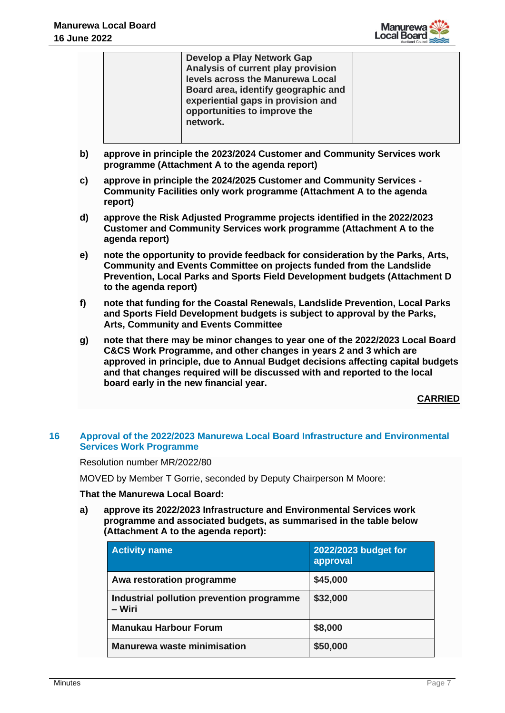

| Develop a Play Network Gap          |  |
|-------------------------------------|--|
| Analysis of current play provision  |  |
| levels across the Manurewa Local    |  |
| Board area, identify geographic and |  |
| experiential gaps in provision and  |  |
| opportunities to improve the        |  |
| network.                            |  |
|                                     |  |
|                                     |  |

- **b) approve in principle the 2023/2024 Customer and Community Services work programme (Attachment A to the agenda report)**
- **c) approve in principle the 2024/2025 Customer and Community Services - Community Facilities only work programme (Attachment A to the agenda report)**
- **d) approve the Risk Adjusted Programme projects identified in the 2022/2023 Customer and Community Services work programme (Attachment A to the agenda report)**
- **e) note the opportunity to provide feedback for consideration by the Parks, Arts, Community and Events Committee on projects funded from the Landslide Prevention, Local Parks and Sports Field Development budgets (Attachment D to the agenda report)**
- **f) note that funding for the Coastal Renewals, Landslide Prevention, Local Parks and Sports Field Development budgets is subject to approval by the Parks, Arts, Community and Events Committee**
- **g) note that there may be minor changes to year one of the 2022/2023 Local Board C&CS Work Programme, and other changes in years 2 and 3 which are approved in principle, due to Annual Budget decisions affecting capital budgets and that changes required will be discussed with and reported to the local board early in the new financial year.**

# **16 Approval of the 2022/2023 Manurewa Local Board Infrastructure and Environmental Services Work Programme**

Resolution number MR/2022/80

MOVED by Member T Gorrie, seconded by Deputy Chairperson M Moore:

#### **That the Manurewa Local Board:**

**a) approve its 2022/2023 Infrastructure and Environmental Services work programme and associated budgets, as summarised in the table below (Attachment A to the agenda report):** 

| <b>Activity name</b>                                | 2022/2023 budget for<br>approval |
|-----------------------------------------------------|----------------------------------|
| Awa restoration programme                           | \$45,000                         |
| Industrial pollution prevention programme<br>– Wiri | \$32,000                         |
| <b>Manukau Harbour Forum</b>                        | \$8,000                          |
| <b>Manurewa waste minimisation</b>                  | \$50,000                         |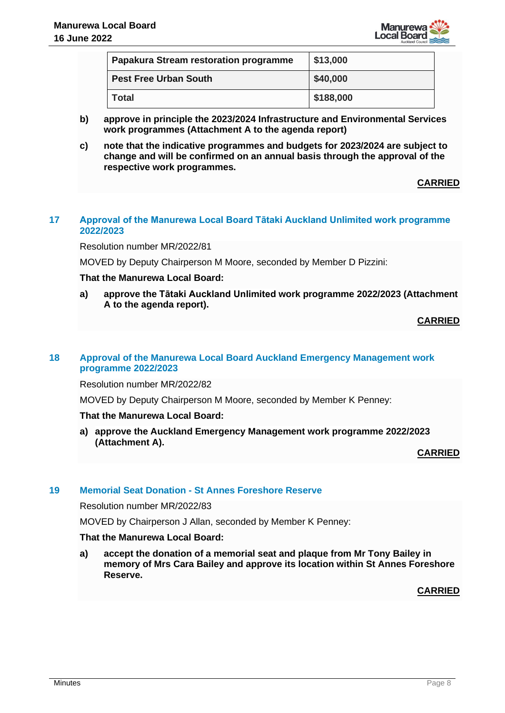

| Papakura Stream restoration programme | \$13,000  |  |
|---------------------------------------|-----------|--|
| <b>Pest Free Urban South</b>          | \$40,000  |  |
| <b>Total</b>                          | \$188,000 |  |

- **b) approve in principle the 2023/2024 Infrastructure and Environmental Services work programmes (Attachment A to the agenda report)**
- **c) note that the indicative programmes and budgets for 2023/2024 are subject to change and will be confirmed on an annual basis through the approval of the respective work programmes.**

# **17 Approval of the Manurewa Local Board Tātaki Auckland Unlimited work programme 2022/2023**

Resolution number MR/2022/81

MOVED by Deputy Chairperson M Moore, seconded by Member D Pizzini:

# **That the Manurewa Local Board:**

**a) approve the Tātaki Auckland Unlimited work programme 2022/2023 (Attachment A to the agenda report).**

**CARRIED**

# **18 Approval of the Manurewa Local Board Auckland Emergency Management work programme 2022/2023**

Resolution number MR/2022/82

MOVED by Deputy Chairperson M Moore, seconded by Member K Penney:

#### **That the Manurewa Local Board:**

**a) approve the Auckland Emergency Management work programme 2022/2023 (Attachment A).**

**CARRIED**

# **19 Memorial Seat Donation - St Annes Foreshore Reserve**

Resolution number MR/2022/83

MOVED by Chairperson J Allan, seconded by Member K Penney:

#### **That the Manurewa Local Board:**

**a) accept the donation of a memorial seat and plaque from Mr Tony Bailey in memory of Mrs Cara Bailey and approve its location within St Annes Foreshore Reserve.**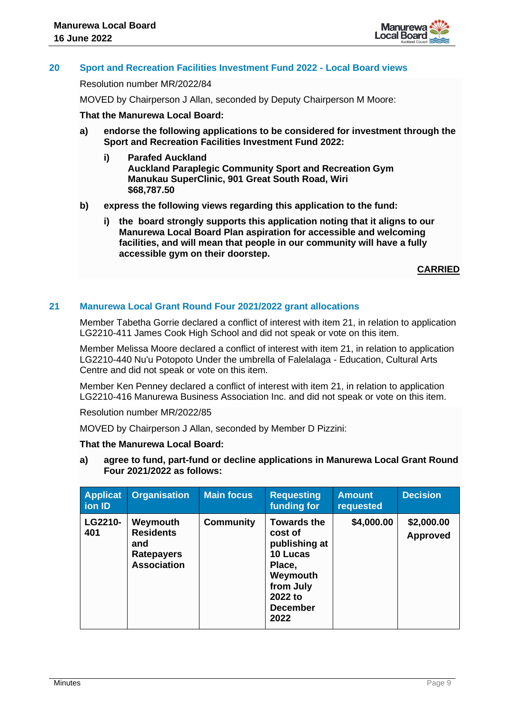

# **20 Sport and Recreation Facilities Investment Fund 2022 - Local Board views**

#### Resolution number MR/2022/84

MOVED by Chairperson J Allan, seconded by Deputy Chairperson M Moore:

# **That the Manurewa Local Board:**

- **a) endorse the following applications to be considered for investment through the Sport and Recreation Facilities Investment Fund 2022:**
	- **i) Parafed Auckland Auckland Paraplegic Community Sport and Recreation Gym Manukau SuperClinic, 901 Great South Road, Wiri \$68,787.50**
- **b) express the following views regarding this application to the fund:**
	- **i) the board strongly supports this application noting that it aligns to our Manurewa Local Board Plan aspiration for accessible and welcoming facilities, and will mean that people in our community will have a fully accessible gym on their doorstep.**

**CARRIED**

# **21 Manurewa Local Grant Round Four 2021/2022 grant allocations**

Member Tabetha Gorrie declared a conflict of interest with item 21, in relation to application LG2210-411 James Cook High School and did not speak or vote on this item.

Member Melissa Moore declared a conflict of interest with item 21, in relation to application LG2210-440 Nu'u Potopoto Under the umbrella of Falelalaga - Education, Cultural Arts Centre and did not speak or vote on this item.

Member Ken Penney declared a conflict of interest with item 21, in relation to application LG2210-416 Manurewa Business Association Inc. and did not speak or vote on this item.

Resolution number MR/2022/85

MOVED by Chairperson J Allan, seconded by Member D Pizzini:

#### **That the Manurewa Local Board:**

**a) agree to fund, part-fund or decline applications in Manurewa Local Grant Round Four 2021/2022 as follows:**

| <b>Applicat</b><br>ion ID | <b>Organisation</b>                                                            | <b>Main focus</b> | <b>Requesting</b><br>funding for                                                                                                    | <b>Amount</b><br>requested | <b>Decision</b>               |
|---------------------------|--------------------------------------------------------------------------------|-------------------|-------------------------------------------------------------------------------------------------------------------------------------|----------------------------|-------------------------------|
| LG2210-<br>401            | Weymouth<br><b>Residents</b><br>and<br><b>Ratepayers</b><br><b>Association</b> | <b>Community</b>  | <b>Towards the</b><br>cost of<br>publishing at<br>10 Lucas<br>Place,<br>Weymouth<br>from July<br>2022 to<br><b>December</b><br>2022 | \$4,000.00                 | \$2,000.00<br><b>Approved</b> |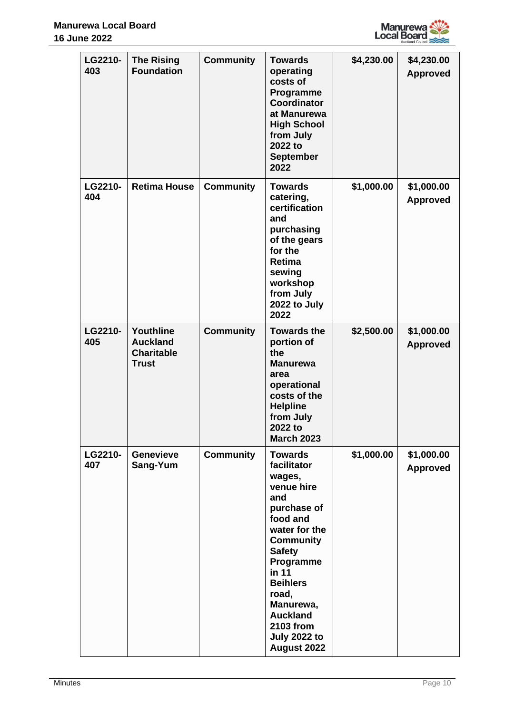

| LG2210-<br>403 | <b>The Rising</b><br><b>Foundation</b>                            | <b>Community</b> | <b>Towards</b><br>operating<br>costs of<br>Programme<br><b>Coordinator</b><br>at Manurewa<br><b>High School</b><br>from July<br>2022 to<br><b>September</b><br>2022                                                                                                                       | \$4,230.00 | \$4,230.00<br><b>Approved</b> |
|----------------|-------------------------------------------------------------------|------------------|-------------------------------------------------------------------------------------------------------------------------------------------------------------------------------------------------------------------------------------------------------------------------------------------|------------|-------------------------------|
| LG2210-<br>404 | <b>Retima House</b>                                               | <b>Community</b> | <b>Towards</b><br>catering,<br>certification<br>and<br>purchasing<br>of the gears<br>for the<br>Retima<br>sewing<br>workshop<br>from July<br>2022 to July<br>2022                                                                                                                         | \$1,000.00 | \$1,000.00<br><b>Approved</b> |
| LG2210-<br>405 | Youthline<br><b>Auckland</b><br><b>Charitable</b><br><b>Trust</b> | <b>Community</b> | <b>Towards the</b><br>portion of<br>the<br><b>Manurewa</b><br>area<br>operational<br>costs of the<br><b>Helpline</b><br>from July<br>2022 to<br><b>March 2023</b>                                                                                                                         | \$2,500.00 | \$1,000.00<br><b>Approved</b> |
| LG2210-<br>407 | <b>Genevieve</b><br>Sang-Yum                                      | <b>Community</b> | <b>Towards</b><br>facilitator<br>wages,<br>venue hire<br>and<br>purchase of<br>food and<br>water for the<br><b>Community</b><br><b>Safety</b><br>Programme<br>in 11<br><b>Beihlers</b><br>road,<br>Manurewa,<br><b>Auckland</b><br><b>2103 from</b><br><b>July 2022 to</b><br>August 2022 | \$1,000.00 | \$1,000.00<br><b>Approved</b> |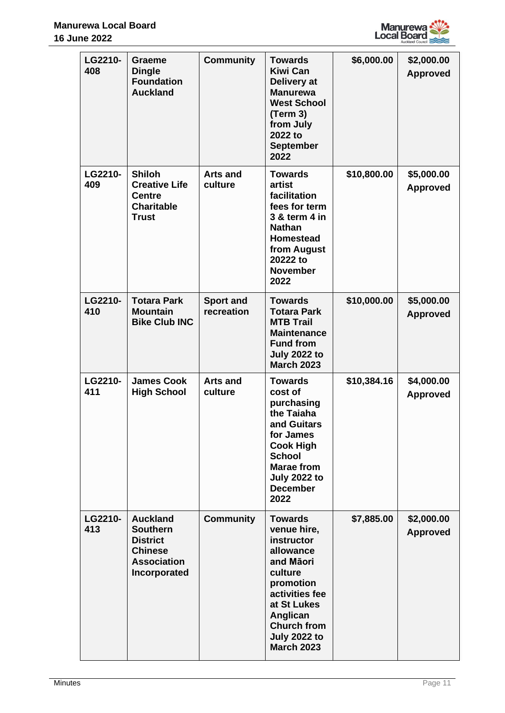

| LG2210-<br>408 | <b>Graeme</b><br><b>Dingle</b><br><b>Foundation</b><br><b>Auckland</b>                                        | <b>Community</b>               | <b>Towards</b><br><b>Kiwi Can</b><br>Delivery at<br><b>Manurewa</b><br><b>West School</b><br>(Term 3)<br>from July<br>2022 to<br><b>September</b><br>2022                                                    | \$6,000.00  | \$2,000.00<br><b>Approved</b> |
|----------------|---------------------------------------------------------------------------------------------------------------|--------------------------------|--------------------------------------------------------------------------------------------------------------------------------------------------------------------------------------------------------------|-------------|-------------------------------|
| LG2210-<br>409 | <b>Shiloh</b><br><b>Creative Life</b><br><b>Centre</b><br><b>Charitable</b><br><b>Trust</b>                   | <b>Arts and</b><br>culture     | <b>Towards</b><br>artist<br>facilitation<br>fees for term<br>3 & term 4 in<br><b>Nathan</b><br><b>Homestead</b><br>from August<br>20222 to<br><b>November</b><br>2022                                        | \$10,800.00 | \$5,000.00<br><b>Approved</b> |
| LG2210-<br>410 | <b>Totara Park</b><br><b>Mountain</b><br><b>Bike Club INC</b>                                                 | <b>Sport and</b><br>recreation | <b>Towards</b><br><b>Totara Park</b><br><b>MTB Trail</b><br><b>Maintenance</b><br><b>Fund from</b><br><b>July 2022 to</b><br><b>March 2023</b>                                                               | \$10,000.00 | \$5,000.00<br><b>Approved</b> |
| LG2210-<br>411 | <b>James Cook</b><br><b>High School</b>                                                                       | <b>Arts and</b><br>culture     | <b>Towards</b><br>cost of<br>purchasing<br>the Taiaha<br>and Guitars<br>for James<br><b>Cook High</b><br><b>School</b><br><b>Marae from</b><br><b>July 2022 to</b><br><b>December</b><br>2022                | \$10,384.16 | \$4,000.00<br><b>Approved</b> |
| LG2210-<br>413 | <b>Auckland</b><br><b>Southern</b><br><b>District</b><br><b>Chinese</b><br><b>Association</b><br>Incorporated | <b>Community</b>               | <b>Towards</b><br>venue hire,<br>instructor<br>allowance<br>and Māori<br>culture<br>promotion<br>activities fee<br>at St Lukes<br>Anglican<br><b>Church from</b><br><b>July 2022 to</b><br><b>March 2023</b> | \$7,885.00  | \$2,000.00<br><b>Approved</b> |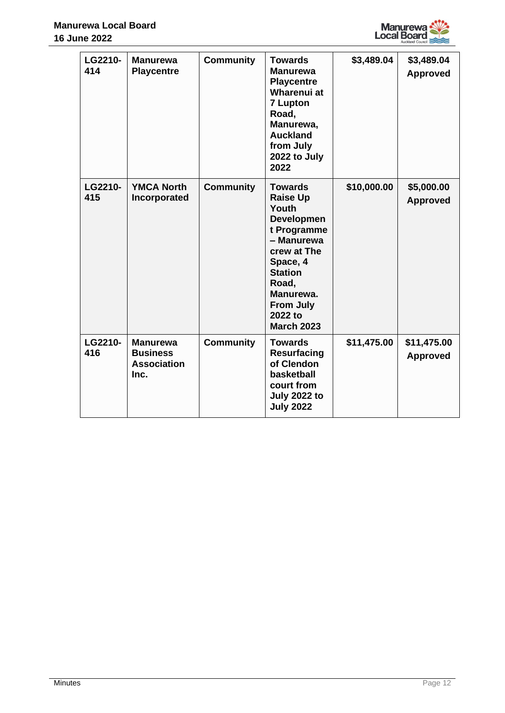

| LG2210-<br>414 | <b>Manurewa</b><br><b>Playcentre</b>                             | <b>Community</b> | <b>Towards</b><br><b>Manurewa</b><br><b>Playcentre</b><br>Wharenui at<br><b>7 Lupton</b><br>Road,<br>Manurewa,<br><b>Auckland</b><br>from July<br>2022 to July<br>2022                                              | \$3,489.04  | \$3,489.04<br><b>Approved</b>  |
|----------------|------------------------------------------------------------------|------------------|---------------------------------------------------------------------------------------------------------------------------------------------------------------------------------------------------------------------|-------------|--------------------------------|
| LG2210-<br>415 | <b>YMCA North</b><br>Incorporated                                | <b>Community</b> | <b>Towards</b><br><b>Raise Up</b><br>Youth<br><b>Developmen</b><br>t Programme<br>- Manurewa<br>crew at The<br>Space, 4<br><b>Station</b><br>Road,<br>Manurewa.<br><b>From July</b><br>2022 to<br><b>March 2023</b> | \$10,000.00 | \$5,000.00<br><b>Approved</b>  |
| LG2210-<br>416 | <b>Manurewa</b><br><b>Business</b><br><b>Association</b><br>Inc. | <b>Community</b> | <b>Towards</b><br>Resurfacing<br>of Clendon<br>basketball<br>court from<br><b>July 2022 to</b><br><b>July 2022</b>                                                                                                  | \$11,475.00 | \$11,475.00<br><b>Approved</b> |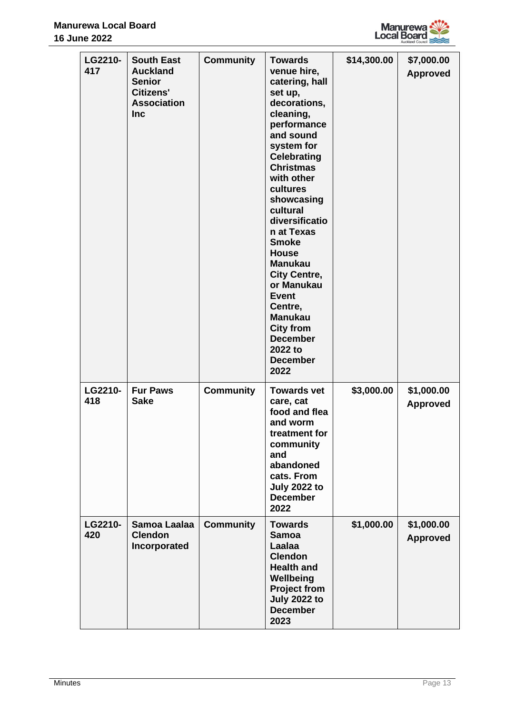

|  | LG2210-<br>417 | <b>South East</b><br><b>Auckland</b><br><b>Senior</b><br><b>Citizens'</b><br><b>Association</b><br><b>Inc</b> | <b>Community</b> | <b>Towards</b><br>venue hire,<br>catering, hall<br>set up,<br>decorations,<br>cleaning,<br>performance<br>and sound<br>system for<br><b>Celebrating</b><br><b>Christmas</b><br>with other<br>cultures<br>showcasing<br>cultural<br>diversificatio<br>n at Texas<br><b>Smoke</b><br><b>House</b><br><b>Manukau</b><br><b>City Centre,</b><br>or Manukau<br><b>Event</b><br>Centre,<br><b>Manukau</b><br><b>City from</b><br><b>December</b><br>2022 to<br><b>December</b><br>2022 | \$14,300.00 | \$7,000.00<br><b>Approved</b> |
|--|----------------|---------------------------------------------------------------------------------------------------------------|------------------|----------------------------------------------------------------------------------------------------------------------------------------------------------------------------------------------------------------------------------------------------------------------------------------------------------------------------------------------------------------------------------------------------------------------------------------------------------------------------------|-------------|-------------------------------|
|  | LG2210-<br>418 | <b>Fur Paws</b><br><b>Sake</b>                                                                                | <b>Community</b> | <b>Towards vet</b><br>care, cat<br>food and flea<br>and worm<br>treatment for<br>community<br>and<br>abandoned<br>cats. From<br><b>July 2022 to</b><br><b>December</b><br>2022                                                                                                                                                                                                                                                                                                   | \$3,000.00  | \$1,000.00<br><b>Approved</b> |
|  | LG2210-<br>420 | Samoa Laalaa<br><b>Clendon</b><br>Incorporated                                                                | <b>Community</b> | <b>Towards</b><br><b>Samoa</b><br>Laalaa<br><b>Clendon</b><br><b>Health and</b><br>Wellbeing<br><b>Project from</b><br><b>July 2022 to</b><br><b>December</b><br>2023                                                                                                                                                                                                                                                                                                            | \$1,000.00  | \$1,000.00<br><b>Approved</b> |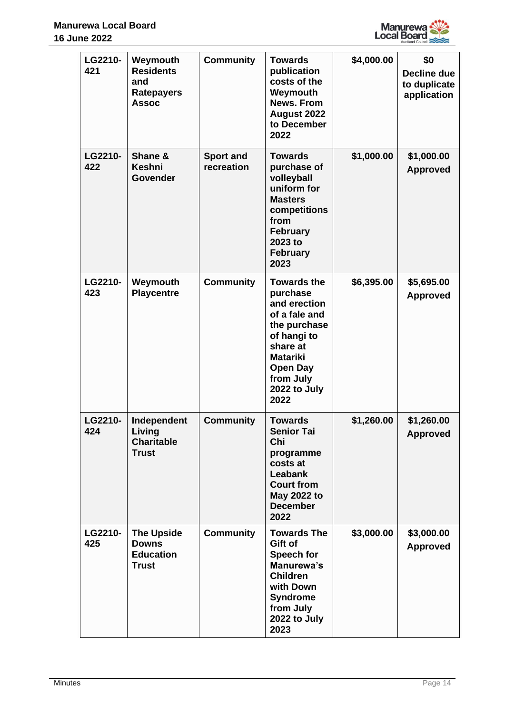

| LG2210-<br>421 | Weymouth<br><b>Residents</b><br>and<br><b>Ratepayers</b><br><b>Assoc</b> | <b>Community</b>               | <b>Towards</b><br>publication<br>costs of the<br>Weymouth<br><b>News. From</b><br>August 2022<br>to December<br>2022                                                           | \$4,000.00 | \$0<br>Decline due<br>to duplicate<br>application |
|----------------|--------------------------------------------------------------------------|--------------------------------|--------------------------------------------------------------------------------------------------------------------------------------------------------------------------------|------------|---------------------------------------------------|
| LG2210-<br>422 | Shane &<br><b>Keshni</b><br><b>Govender</b>                              | <b>Sport and</b><br>recreation | <b>Towards</b><br>purchase of<br>volleyball<br>uniform for<br><b>Masters</b><br>competitions<br>from<br><b>February</b><br>2023 to<br><b>February</b><br>2023                  | \$1,000.00 | \$1,000.00<br><b>Approved</b>                     |
| LG2210-<br>423 | Weymouth<br><b>Playcentre</b>                                            | <b>Community</b>               | <b>Towards the</b><br>purchase<br>and erection<br>of a fale and<br>the purchase<br>of hangi to<br>share at<br><b>Matariki</b><br>Open Day<br>from July<br>2022 to July<br>2022 | \$6,395.00 | \$5,695.00<br><b>Approved</b>                     |
| LG2210-<br>424 | Independent<br>Living<br><b>Charitable</b><br><b>Trust</b>               | <b>Community</b>               | <b>Towards</b><br><b>Senior Tai</b><br>Chi<br>programme<br>costs at<br><b>Leabank</b><br><b>Court from</b><br>May 2022 to<br><b>December</b><br>2022                           | \$1,260.00 | \$1,260.00<br><b>Approved</b>                     |
| LG2210-<br>425 | <b>The Upside</b><br><b>Downs</b><br><b>Education</b><br><b>Trust</b>    | <b>Community</b>               | <b>Towards The</b><br>Gift of<br><b>Speech for</b><br>Manurewa's<br><b>Children</b><br>with Down<br><b>Syndrome</b><br>from July<br>2022 to July<br>2023                       | \$3,000.00 | \$3,000.00<br><b>Approved</b>                     |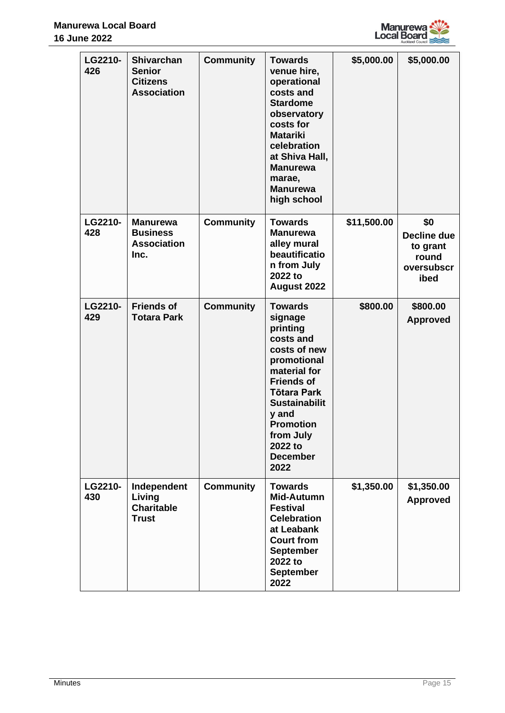

| LG2210-<br>426 | <b>Shivarchan</b><br><b>Senior</b><br><b>Citizens</b><br><b>Association</b> | <b>Community</b> | <b>Towards</b><br>venue hire,<br>operational<br>costs and<br><b>Stardome</b><br>observatory<br>costs for<br><b>Matariki</b><br>celebration<br>at Shiva Hall,<br><b>Manurewa</b><br>marae,<br><b>Manurewa</b><br>high school                          | \$5,000.00  | \$5,000.00                                                    |
|----------------|-----------------------------------------------------------------------------|------------------|------------------------------------------------------------------------------------------------------------------------------------------------------------------------------------------------------------------------------------------------------|-------------|---------------------------------------------------------------|
| LG2210-<br>428 | <b>Manurewa</b><br><b>Business</b><br><b>Association</b><br>Inc.            | <b>Community</b> | <b>Towards</b><br><b>Manurewa</b><br>alley mural<br>beautificatio<br>n from July<br>2022 to<br>August 2022                                                                                                                                           | \$11,500.00 | \$0<br>Decline due<br>to grant<br>round<br>oversubscr<br>ibed |
| LG2210-<br>429 | <b>Friends of</b><br><b>Totara Park</b>                                     | <b>Community</b> | <b>Towards</b><br>signage<br>printing<br>costs and<br>costs of new<br>promotional<br>material for<br><b>Friends of</b><br><b>Tōtara Park</b><br><b>Sustainabilit</b><br>y and<br><b>Promotion</b><br>from July<br>2022 to<br><b>December</b><br>2022 | \$800.00    | \$800.00<br><b>Approved</b>                                   |
| LG2210-<br>430 | Independent<br>Living<br><b>Charitable</b><br><b>Trust</b>                  | <b>Community</b> | <b>Towards</b><br>Mid-Autumn<br><b>Festival</b><br><b>Celebration</b><br>at Leabank<br><b>Court from</b><br><b>September</b><br>2022 to<br><b>September</b><br>2022                                                                                  | \$1,350.00  | \$1,350.00<br><b>Approved</b>                                 |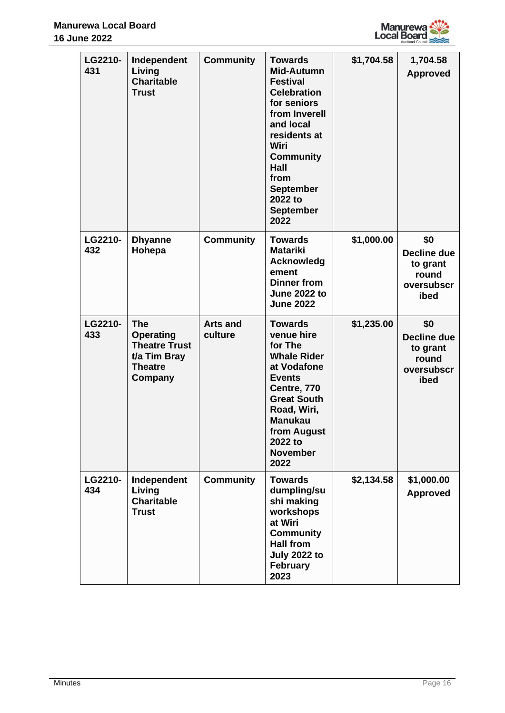

| LG2210-<br>431 | Independent<br>Living<br><b>Charitable</b><br><b>Trust</b>                                   | <b>Community</b>           | <b>Towards</b><br>Mid-Autumn<br><b>Festival</b><br><b>Celebration</b><br>for seniors<br>from Inverell<br>and local<br>residents at<br>Wiri<br><b>Community</b><br>Hall<br>from<br><b>September</b><br>2022 to<br><b>September</b><br>2022 | \$1,704.58 | 1,704.58<br><b>Approved</b>                                   |
|----------------|----------------------------------------------------------------------------------------------|----------------------------|-------------------------------------------------------------------------------------------------------------------------------------------------------------------------------------------------------------------------------------------|------------|---------------------------------------------------------------|
| LG2210-<br>432 | <b>Dhyanne</b><br>Hohepa                                                                     | <b>Community</b>           | <b>Towards</b><br><b>Matariki</b><br>Acknowledg<br>ement<br><b>Dinner from</b><br><b>June 2022 to</b><br><b>June 2022</b>                                                                                                                 | \$1,000.00 | \$0<br>Decline due<br>to grant<br>round<br>oversubscr<br>ibed |
| LG2210-<br>433 | The<br><b>Operating</b><br><b>Theatre Trust</b><br>t/a Tim Bray<br><b>Theatre</b><br>Company | <b>Arts and</b><br>culture | <b>Towards</b><br>venue hire<br>for The<br><b>Whale Rider</b><br>at Vodafone<br><b>Events</b><br>Centre, 770<br><b>Great South</b><br>Road, Wiri,<br><b>Manukau</b><br>from August<br>2022 to<br><b>November</b><br>2022                  | \$1,235.00 | \$0<br>Decline due<br>to grant<br>round<br>oversubscr<br>ibed |
| LG2210-<br>434 | Independent<br>Living<br><b>Charitable</b><br><b>Trust</b>                                   | <b>Community</b>           | <b>Towards</b><br>dumpling/su<br>shi making<br>workshops<br>at Wiri<br><b>Community</b><br><b>Hall from</b><br><b>July 2022 to</b><br><b>February</b><br>2023                                                                             | \$2,134.58 | \$1,000.00<br><b>Approved</b>                                 |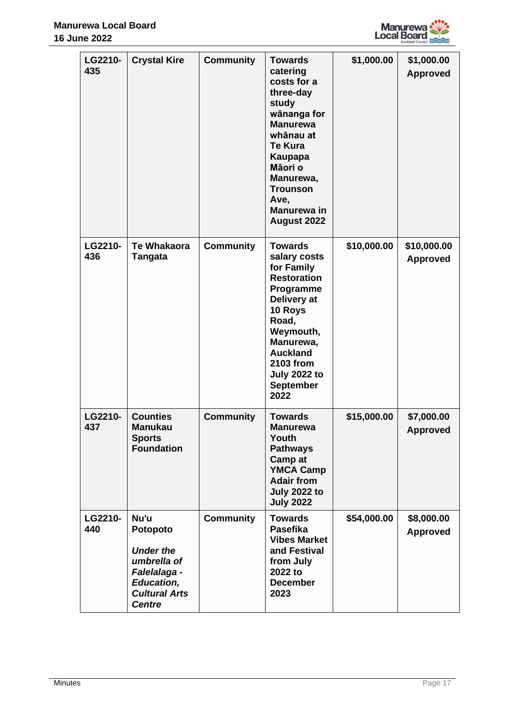

| LG2210-<br>435 | <b>Crystal Kire</b>                                                                                                               | <b>Community</b> | <b>Towards</b><br>catering<br>costs for a<br>three-day<br>study<br>wānanga for<br><b>Manurewa</b><br>whānau at<br><b>Te Kura</b><br>Kaupapa<br>Māori o<br>Manurewa,<br><b>Trounson</b><br>Ave,<br><b>Manurewa</b> in<br>August 2022    | \$1,000.00  | \$1,000.00<br><b>Approved</b>  |
|----------------|-----------------------------------------------------------------------------------------------------------------------------------|------------------|----------------------------------------------------------------------------------------------------------------------------------------------------------------------------------------------------------------------------------------|-------------|--------------------------------|
| LG2210-<br>436 | <b>Te Whakaora</b><br><b>Tangata</b>                                                                                              | <b>Community</b> | <b>Towards</b><br>salary costs<br>for Family<br><b>Restoration</b><br>Programme<br>Delivery at<br>10 Roys<br>Road,<br>Weymouth,<br>Manurewa,<br><b>Auckland</b><br><b>2103 from</b><br><b>July 2022 to</b><br><b>September</b><br>2022 | \$10,000.00 | \$10,000.00<br><b>Approved</b> |
| LG2210-<br>437 | <b>Counties</b><br>Manukau<br><b>Sports</b><br><b>Foundation</b>                                                                  | <b>Community</b> | <b>Towards</b><br><b>Manurewa</b><br>Youth<br><b>Pathways</b><br>Camp at<br><b>YMCA Camp</b><br><b>Adair from</b><br><b>July 2022 to</b><br><b>July 2022</b>                                                                           | \$15,000.00 | \$7,000.00<br><b>Approved</b>  |
| LG2210-<br>440 | Nu'u<br>Potopoto<br><b>Under the</b><br>umbrella of<br>Falelalaga -<br><b>Education,</b><br><b>Cultural Arts</b><br><b>Centre</b> | <b>Community</b> | <b>Towards</b><br><b>Pasefika</b><br><b>Vibes Market</b><br>and Festival<br>from July<br>2022 to<br><b>December</b><br>2023                                                                                                            | \$54,000.00 | \$8,000.00<br><b>Approved</b>  |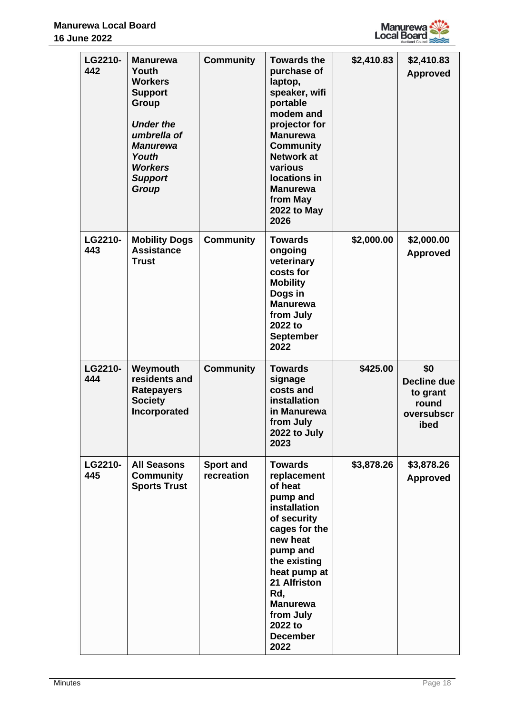

| LG2210-<br>442 | <b>Manurewa</b><br>Youth<br><b>Workers</b><br><b>Support</b><br>Group<br><b>Under the</b><br>umbrella of<br><b>Manurewa</b><br>Youth<br><b>Workers</b><br><b>Support</b><br><b>Group</b> | <b>Community</b>               | <b>Towards the</b><br>purchase of<br>laptop,<br>speaker, wifi<br>portable<br>modem and<br>projector for<br><b>Manurewa</b><br><b>Community</b><br><b>Network at</b><br>various<br>locations in<br><b>Manurewa</b><br>from May<br><b>2022 to May</b><br>2026 | \$2,410.83 | \$2,410.83<br><b>Approved</b>                                 |
|----------------|------------------------------------------------------------------------------------------------------------------------------------------------------------------------------------------|--------------------------------|-------------------------------------------------------------------------------------------------------------------------------------------------------------------------------------------------------------------------------------------------------------|------------|---------------------------------------------------------------|
| LG2210-<br>443 | <b>Mobility Dogs</b><br><b>Assistance</b><br><b>Trust</b>                                                                                                                                | <b>Community</b>               | <b>Towards</b><br>ongoing<br>veterinary<br>costs for<br><b>Mobility</b><br>Dogs in<br><b>Manurewa</b><br>from July<br>2022 to<br><b>September</b><br>2022                                                                                                   | \$2,000.00 | \$2,000.00<br><b>Approved</b>                                 |
| LG2210-<br>444 | Weymouth<br>residents and<br><b>Ratepayers</b><br><b>Society</b><br>Incorporated                                                                                                         | <b>Community</b>               | <b>Towards</b><br>signage<br>costs and<br>installation<br>in Manurewa<br>from July<br>2022 to July<br>2023                                                                                                                                                  | \$425.00   | \$0<br>Decline due<br>to grant<br>round<br>oversubscr<br>ibed |
| LG2210-<br>445 | <b>All Seasons</b><br>Community<br><b>Sports Trust</b>                                                                                                                                   | <b>Sport and</b><br>recreation | <b>Towards</b><br>replacement<br>of heat<br>pump and<br>installation<br>of security<br>cages for the<br>new heat<br>pump and<br>the existing<br>heat pump at<br>21 Alfriston<br>Rd,<br><b>Manurewa</b><br>from July<br>2022 to<br><b>December</b><br>2022   | \$3,878.26 | \$3,878.26<br><b>Approved</b>                                 |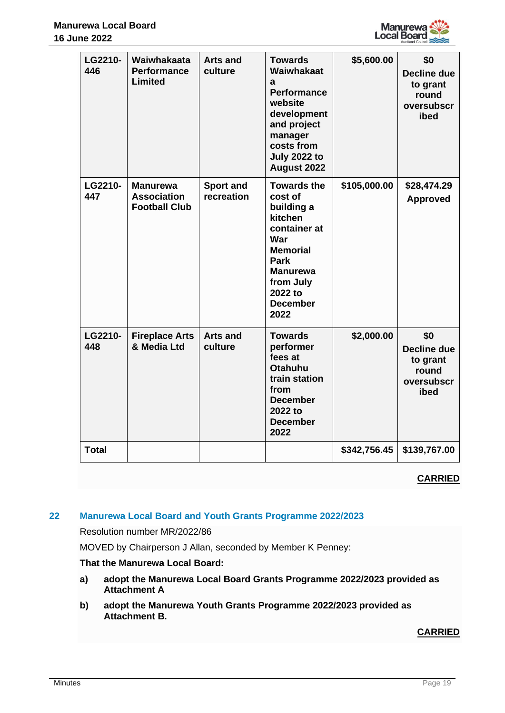

| LG2210-<br>446 | Waiwhakaata<br><b>Performance</b><br><b>Limited</b>           | <b>Arts and</b><br>culture     | <b>Towards</b><br>Waiwhakaat<br>a<br><b>Performance</b><br>website<br>development<br>and project<br>manager<br>costs from<br><b>July 2022 to</b><br>August 2022                | \$5,600.00   | \$0<br><b>Decline due</b><br>to grant<br>round<br>oversubscr<br>ibed |
|----------------|---------------------------------------------------------------|--------------------------------|--------------------------------------------------------------------------------------------------------------------------------------------------------------------------------|--------------|----------------------------------------------------------------------|
| LG2210-<br>447 | <b>Manurewa</b><br><b>Association</b><br><b>Football Club</b> | <b>Sport and</b><br>recreation | <b>Towards the</b><br>cost of<br>building a<br>kitchen<br>container at<br>War<br><b>Memorial</b><br>Park<br><b>Manurewa</b><br>from July<br>2022 to<br><b>December</b><br>2022 | \$105,000.00 | \$28,474.29<br><b>Approved</b>                                       |
| LG2210-<br>448 | <b>Fireplace Arts</b><br>& Media Ltd                          | <b>Arts and</b><br>culture     | <b>Towards</b><br>performer<br>fees at<br><b>Otahuhu</b><br>train station<br>from<br><b>December</b><br>2022 to<br><b>December</b><br>2022                                     | \$2,000.00   | \$0<br><b>Decline due</b><br>to grant<br>round<br>oversubscr<br>ibed |
| <b>Total</b>   |                                                               |                                |                                                                                                                                                                                | \$342,756.45 | \$139,767.00                                                         |

# **22 Manurewa Local Board and Youth Grants Programme 2022/2023**

Resolution number MR/2022/86

MOVED by Chairperson J Allan, seconded by Member K Penney:

# **That the Manurewa Local Board:**

- **a) adopt the Manurewa Local Board Grants Programme 2022/2023 provided as Attachment A**
- **b) adopt the Manurewa Youth Grants Programme 2022/2023 provided as Attachment B.**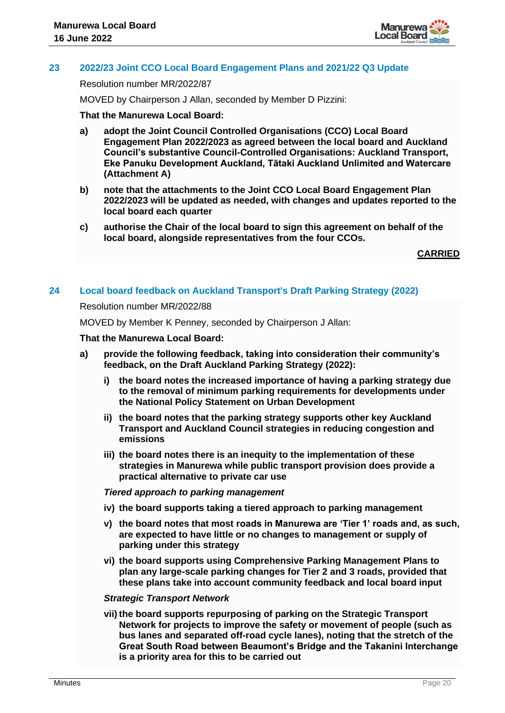

# **23 2022/23 Joint CCO Local Board Engagement Plans and 2021/22 Q3 Update**

Resolution number MR/2022/87

MOVED by Chairperson J Allan, seconded by Member D Pizzini:

# **That the Manurewa Local Board:**

- **a) adopt the Joint Council Controlled Organisations (CCO) Local Board Engagement Plan 2022/2023 as agreed between the local board and Auckland Council's substantive Council-Controlled Organisations: Auckland Transport, Eke Panuku Development Auckland, Tātaki Auckland Unlimited and Watercare (Attachment A)**
- **b) note that the attachments to the Joint CCO Local Board Engagement Plan 2022/2023 will be updated as needed, with changes and updates reported to the local board each quarter**
- **c) authorise the Chair of the local board to sign this agreement on behalf of the local board, alongside representatives from the four CCOs.**

**CARRIED**

# **24 Local board feedback on Auckland Transport's Draft Parking Strategy (2022)**

#### Resolution number MR/2022/88

MOVED by Member K Penney, seconded by Chairperson J Allan:

#### **That the Manurewa Local Board:**

- **a) provide the following feedback, taking into consideration their community's feedback, on the Draft Auckland Parking Strategy (2022):**
	- **i) the board notes the increased importance of having a parking strategy due to the removal of minimum parking requirements for developments under the National Policy Statement on Urban Development**
	- **ii) the board notes that the parking strategy supports other key Auckland Transport and Auckland Council strategies in reducing congestion and emissions**
	- **iii) the board notes there is an inequity to the implementation of these strategies in Manurewa while public transport provision does provide a practical alternative to private car use**

#### *Tiered approach to parking management*

- **iv) the board supports taking a tiered approach to parking management**
- **v) the board notes that most roads in Manurewa are 'Tier 1' roads and, as such, are expected to have little or no changes to management or supply of parking under this strategy**
- **vi) the board supports using Comprehensive Parking Management Plans to plan any large-scale parking changes for Tier 2 and 3 roads, provided that these plans take into account community feedback and local board input**

#### *Strategic Transport Network*

**vii) the board supports repurposing of parking on the Strategic Transport Network for projects to improve the safety or movement of people (such as bus lanes and separated off-road cycle lanes), noting that the stretch of the Great South Road between Beaumont's Bridge and the Takanini Interchange is a priority area for this to be carried out**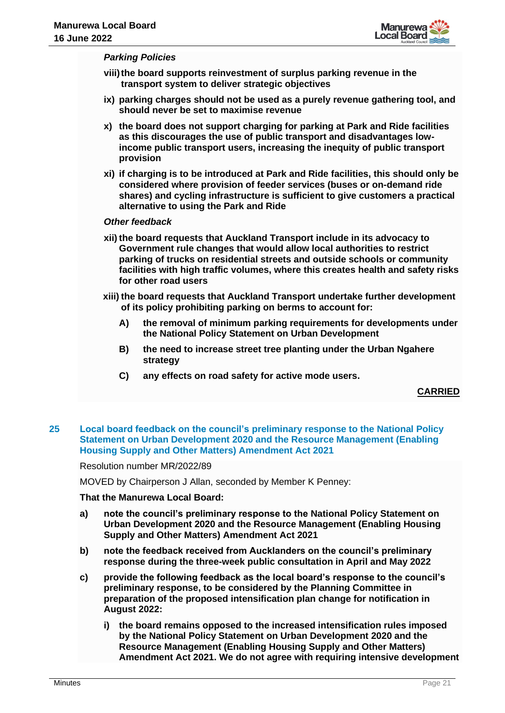

#### *Parking Policies*

- **viii)the board supports reinvestment of surplus parking revenue in the transport system to deliver strategic objectives**
- **ix) parking charges should not be used as a purely revenue gathering tool, and should never be set to maximise revenue**
- **x) the board does not support charging for parking at Park and Ride facilities as this discourages the use of public transport and disadvantages lowincome public transport users, increasing the inequity of public transport provision**
- **xi) if charging is to be introduced at Park and Ride facilities, this should only be considered where provision of feeder services (buses or on-demand ride shares) and cycling infrastructure is sufficient to give customers a practical alternative to using the Park and Ride**

#### *Other feedback*

- **xii) the board requests that Auckland Transport include in its advocacy to Government rule changes that would allow local authorities to restrict parking of trucks on residential streets and outside schools or community facilities with high traffic volumes, where this creates health and safety risks for other road users**
- **xiii) the board requests that Auckland Transport undertake further development of its policy prohibiting parking on berms to account for:**
	- **A) the removal of minimum parking requirements for developments under the National Policy Statement on Urban Development**
	- **B) the need to increase street tree planting under the Urban Ngahere strategy**
	- **C) any effects on road safety for active mode users.**

# **CARRIED**

#### **25 Local board feedback on the council's preliminary response to the National Policy Statement on Urban Development 2020 and the Resource Management (Enabling Housing Supply and Other Matters) Amendment Act 2021**

Resolution number MR/2022/89

MOVED by Chairperson J Allan, seconded by Member K Penney:

#### **That the Manurewa Local Board:**

- **a) note the council's preliminary response to the National Policy Statement on Urban Development 2020 and the Resource Management (Enabling Housing Supply and Other Matters) Amendment Act 2021**
- **b) note the feedback received from Aucklanders on the council's preliminary response during the three-week public consultation in April and May 2022**
- **c) provide the following feedback as the local board's response to the council's preliminary response, to be considered by the Planning Committee in preparation of the proposed intensification plan change for notification in August 2022:**
	- **i) the board remains opposed to the increased intensification rules imposed by the National Policy Statement on Urban Development 2020 and the Resource Management (Enabling Housing Supply and Other Matters) Amendment Act 2021. We do not agree with requiring intensive development**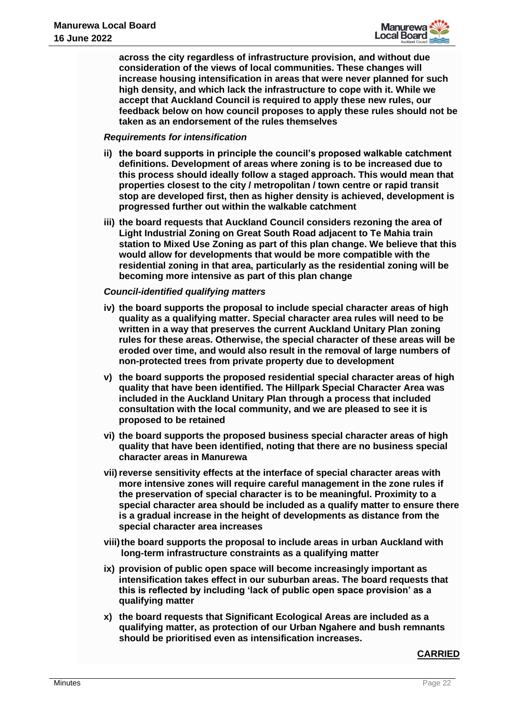

**across the city regardless of infrastructure provision, and without due consideration of the views of local communities. These changes will increase housing intensification in areas that were never planned for such high density, and which lack the infrastructure to cope with it. While we accept that Auckland Council is required to apply these new rules, our feedback below on how council proposes to apply these rules should not be taken as an endorsement of the rules themselves**

#### *Requirements for intensification*

- **ii) the board supports in principle the council's proposed walkable catchment definitions. Development of areas where zoning is to be increased due to this process should ideally follow a staged approach. This would mean that properties closest to the city / metropolitan / town centre or rapid transit stop are developed first, then as higher density is achieved, development is progressed further out within the walkable catchment**
- **iii) the board requests that Auckland Council considers rezoning the area of Light Industrial Zoning on Great South Road adjacent to Te Mahia train station to Mixed Use Zoning as part of this plan change. We believe that this would allow for developments that would be more compatible with the residential zoning in that area, particularly as the residential zoning will be becoming more intensive as part of this plan change**

# *Council-identified qualifying matters*

- **iv) the board supports the proposal to include special character areas of high quality as a qualifying matter. Special character area rules will need to be written in a way that preserves the current Auckland Unitary Plan zoning rules for these areas. Otherwise, the special character of these areas will be eroded over time, and would also result in the removal of large numbers of non-protected trees from private property due to development**
- **v) the board supports the proposed residential special character areas of high quality that have been identified. The Hillpark Special Character Area was included in the Auckland Unitary Plan through a process that included consultation with the local community, and we are pleased to see it is proposed to be retained**
- **vi) the board supports the proposed business special character areas of high quality that have been identified, noting that there are no business special character areas in Manurewa**
- **vii)reverse sensitivity effects at the interface of special character areas with more intensive zones will require careful management in the zone rules if the preservation of special character is to be meaningful. Proximity to a special character area should be included as a qualify matter to ensure there is a gradual increase in the height of developments as distance from the special character area increases**
- **viii)the board supports the proposal to include areas in urban Auckland with long-term infrastructure constraints as a qualifying matter**
- **ix) provision of public open space will become increasingly important as intensification takes effect in our suburban areas. The board requests that this is reflected by including 'lack of public open space provision' as a qualifying matter**
- **x) the board requests that Significant Ecological Areas are included as a qualifying matter, as protection of our Urban Ngahere and bush remnants should be prioritised even as intensification increases.**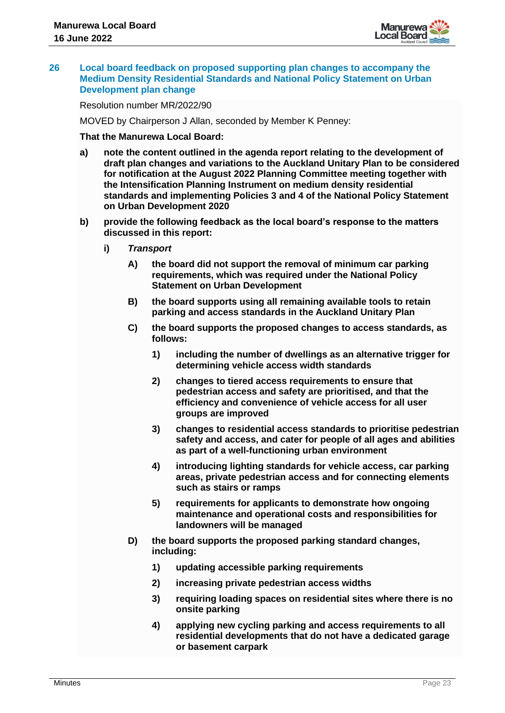

#### **26 Local board feedback on proposed supporting plan changes to accompany the Medium Density Residential Standards and National Policy Statement on Urban Development plan change**

Resolution number MR/2022/90

MOVED by Chairperson J Allan, seconded by Member K Penney:

#### **That the Manurewa Local Board:**

- **a) note the content outlined in the agenda report relating to the development of draft plan changes and variations to the Auckland Unitary Plan to be considered for notification at the August 2022 Planning Committee meeting together with the Intensification Planning Instrument on medium density residential standards and implementing Policies 3 and 4 of the National Policy Statement on Urban Development 2020**
- **b) provide the following feedback as the local board's response to the matters discussed in this report:**
	- **i)** *Transport* 
		- **A) the board did not support the removal of minimum car parking requirements, which was required under the National Policy Statement on Urban Development**
		- **B) the board supports using all remaining available tools to retain parking and access standards in the Auckland Unitary Plan**
		- **C) the board supports the proposed changes to access standards, as follows:** 
			- **1) including the number of dwellings as an alternative trigger for determining vehicle access width standards**
			- **2) changes to tiered access requirements to ensure that pedestrian access and safety are prioritised, and that the efficiency and convenience of vehicle access for all user groups are improved**
			- **3) changes to residential access standards to prioritise pedestrian safety and access, and cater for people of all ages and abilities as part of a well-functioning urban environment**
			- **4) introducing lighting standards for vehicle access, car parking areas, private pedestrian access and for connecting elements such as stairs or ramps**
			- **5) requirements for applicants to demonstrate how ongoing maintenance and operational costs and responsibilities for landowners will be managed**
		- **D) the board supports the proposed parking standard changes, including:** 
			- **1) updating accessible parking requirements**
			- **2) increasing private pedestrian access widths**
			- **3) requiring loading spaces on residential sites where there is no onsite parking**
			- **4) applying new cycling parking and access requirements to all residential developments that do not have a dedicated garage or basement carpark**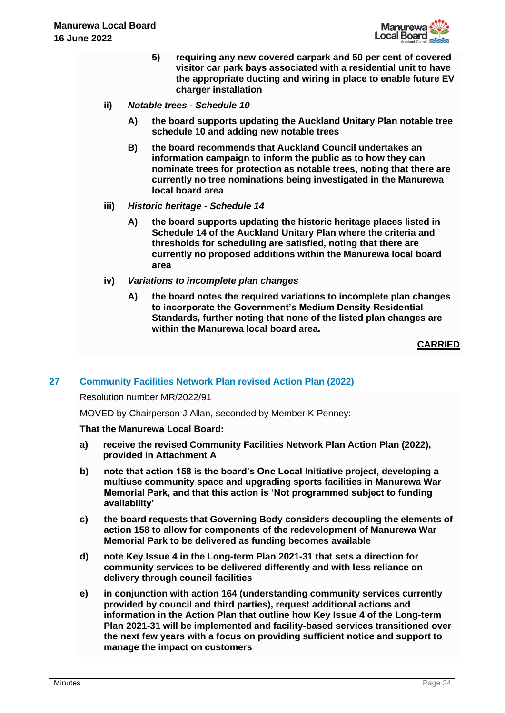

- **5) requiring any new covered carpark and 50 per cent of covered visitor car park bays associated with a residential unit to have the appropriate ducting and wiring in place to enable future EV charger installation**
- **ii)** *Notable trees - Schedule 10*
	- **A) the board supports updating the Auckland Unitary Plan notable tree schedule 10 and adding new notable trees**
	- **B) the board recommends that Auckland Council undertakes an information campaign to inform the public as to how they can nominate trees for protection as notable trees, noting that there are currently no tree nominations being investigated in the Manurewa local board area**
- **iii)** *Historic heritage - Schedule 14*
	- **A) the board supports updating the historic heritage places listed in Schedule 14 of the Auckland Unitary Plan where the criteria and thresholds for scheduling are satisfied, noting that there are currently no proposed additions within the Manurewa local board area**
- **iv)** *Variations to incomplete plan changes*
	- **A) the board notes the required variations to incomplete plan changes to incorporate the Government's Medium Density Residential Standards, further noting that none of the listed plan changes are within the Manurewa local board area.**

# **27 Community Facilities Network Plan revised Action Plan (2022)**

#### Resolution number MR/2022/91

MOVED by Chairperson J Allan, seconded by Member K Penney:

#### **That the Manurewa Local Board:**

- **a) receive the revised Community Facilities Network Plan Action Plan (2022), provided in Attachment A**
- **b) note that action 158 is the board's One Local Initiative project, developing a multiuse community space and upgrading sports facilities in Manurewa War Memorial Park, and that this action is 'Not programmed subject to funding availability'**
- **c) the board requests that Governing Body considers decoupling the elements of action 158 to allow for components of the redevelopment of Manurewa War Memorial Park to be delivered as funding becomes available**
- **d) note Key Issue 4 in the Long-term Plan 2021-31 that sets a direction for community services to be delivered differently and with less reliance on delivery through council facilities**
- **e) in conjunction with action 164 (understanding community services currently provided by council and third parties), request additional actions and information in the Action Plan that outline how Key Issue 4 of the Long-term Plan 2021-31 will be implemented and facility-based services transitioned over the next few years with a focus on providing sufficient notice and support to manage the impact on customers**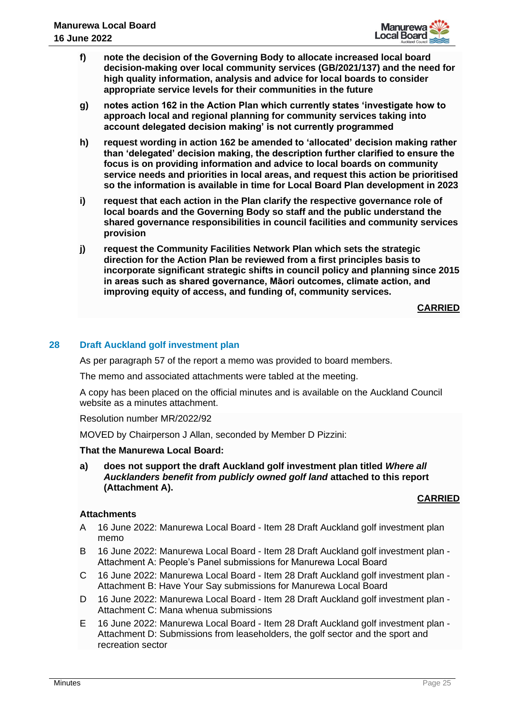

- **f) note the decision of the Governing Body to allocate increased local board decision-making over local community services (GB/2021/137) and the need for high quality information, analysis and advice for local boards to consider appropriate service levels for their communities in the future**
- **g) notes action 162 in the Action Plan which currently states 'investigate how to approach local and regional planning for community services taking into account delegated decision making' is not currently programmed**
- **h) request wording in action 162 be amended to 'allocated' decision making rather than 'delegated' decision making, the description further clarified to ensure the focus is on providing information and advice to local boards on community service needs and priorities in local areas, and request this action be prioritised so the information is available in time for Local Board Plan development in 2023**
- **i) request that each action in the Plan clarify the respective governance role of local boards and the Governing Body so staff and the public understand the shared governance responsibilities in council facilities and community services provision**
- **j) request the Community Facilities Network Plan which sets the strategic direction for the Action Plan be reviewed from a first principles basis to incorporate significant strategic shifts in council policy and planning since 2015 in areas such as shared governance, Māori outcomes, climate action, and improving equity of access, and funding of, community services.**

# **28 Draft Auckland golf investment plan**

As per paragraph 57 of the report a memo was provided to board members.

The memo and associated attachments were tabled at the meeting.

A copy has been placed on the official minutes and is available on the Auckland Council website as a minutes attachment.

Resolution number MR/2022/92

MOVED by Chairperson J Allan, seconded by Member D Pizzini:

# **That the Manurewa Local Board:**

**a) does not support the draft Auckland golf investment plan titled** *Where all Aucklanders benefit from publicly owned golf land* **attached to this report (Attachment A).**

# **CARRIED**

# **Attachments**

- A 16 June 2022: Manurewa Local Board Item 28 Draft Auckland golf investment plan memo
- B 16 June 2022: Manurewa Local Board Item 28 Draft Auckland golf investment plan Attachment A: People's Panel submissions for Manurewa Local Board
- C 16 June 2022: Manurewa Local Board Item 28 Draft Auckland golf investment plan Attachment B: Have Your Say submissions for Manurewa Local Board
- D 16 June 2022: Manurewa Local Board Item 28 Draft Auckland golf investment plan Attachment C: Mana whenua submissions
- E 16 June 2022: Manurewa Local Board Item 28 Draft Auckland golf investment plan Attachment D: Submissions from leaseholders, the golf sector and the sport and recreation sector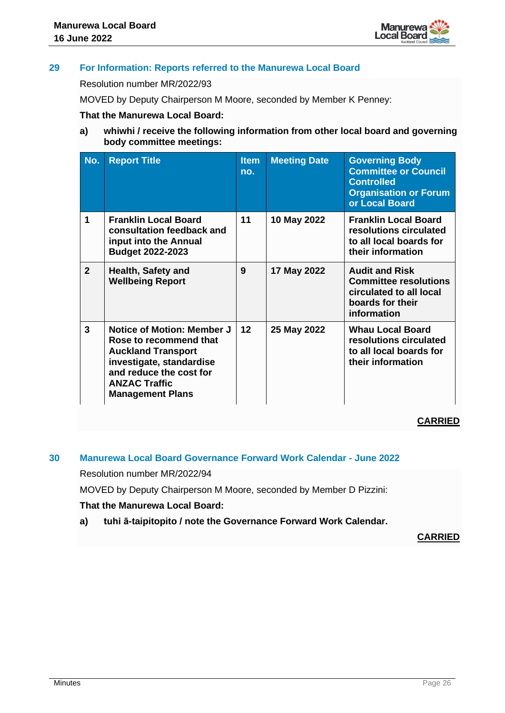

# **29 For Information: Reports referred to the Manurewa Local Board**

Resolution number MR/2022/93

MOVED by Deputy Chairperson M Moore, seconded by Member K Penney:

# **That the Manurewa Local Board:**

**a) whiwhi / receive the following information from other local board and governing body committee meetings:**

| No.            | <b>Report Title</b>                                                                                                                                                                         | <b>Item</b><br>no. | <b>Meeting Date</b> | <b>Governing Body</b><br><b>Committee or Council</b><br><b>Controlled</b><br><b>Organisation or Forum</b><br>or Local Board |
|----------------|---------------------------------------------------------------------------------------------------------------------------------------------------------------------------------------------|--------------------|---------------------|-----------------------------------------------------------------------------------------------------------------------------|
| 1              | <b>Franklin Local Board</b><br>consultation feedback and<br>input into the Annual<br><b>Budget 2022-2023</b>                                                                                | 11                 | 10 May 2022         | <b>Franklin Local Board</b><br>resolutions circulated<br>to all local boards for<br>their information                       |
| $\overline{2}$ | <b>Health, Safety and</b><br><b>Wellbeing Report</b>                                                                                                                                        | 9                  | 17 May 2022         | <b>Audit and Risk</b><br><b>Committee resolutions</b><br>circulated to all local<br>boards for their<br>information         |
| 3              | Notice of Motion: Member J<br>Rose to recommend that<br><b>Auckland Transport</b><br>investigate, standardise<br>and reduce the cost for<br><b>ANZAC Traffic</b><br><b>Management Plans</b> | $12 \overline{ }$  | 25 May 2022         | <b>Whau Local Board</b><br>resolutions circulated<br>to all local boards for<br>their information                           |

# **CARRIED**

# **30 Manurewa Local Board Governance Forward Work Calendar - June 2022**

Resolution number MR/2022/94

MOVED by Deputy Chairperson M Moore, seconded by Member D Pizzini:

# **That the Manurewa Local Board:**

**a) tuhi ā-taipitopito / note the Governance Forward Work Calendar.**